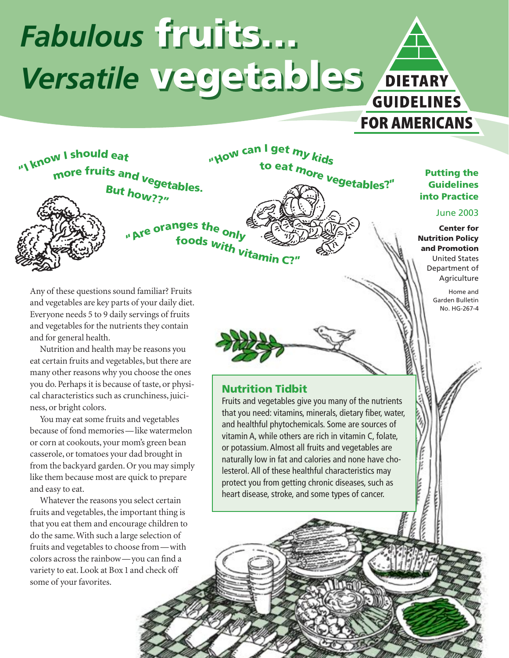# *Fabulous* **fruits…** *Fabulous* **fruits…** *Versatile* **vegetables** *Versatile* **vegetables** DIETARY **GUIDELINES**



### **Putting the Guidelines into Practice**

**FOR AMERICANS** 

### June 2003

**Center for Nutrition Policy and Promotion** United States Department of Agriculture

> Home and Garden Bulletin No. HG-267-4

Ĕ

Any of these questions sound familiar? Fruits and vegetables are key parts of your daily diet. Everyone needs 5 to 9 daily servings of fruits and vegetables for the nutrients they contain and for general health.

Nutrition and health may be reasons you eat certain fruits and vegetables, but there are many other reasons why you choose the ones you do. Perhaps it is because of taste, or physical characteristics such as crunchiness, juiciness, or bright colors.

You may eat some fruits and vegetables because of fond memories—like watermelon or corn at cookouts, your mom's green bean casserole, or tomatoes your dad brought in from the backyard garden. Or you may simply like them because most are quick to prepare and easy to eat.

Whatever the reasons you select certain fruits and vegetables, the important thing is that you eat them and encourage children to do the same. With such a large selection of fruits and vegetables to choose from—with colors across the rainbow—you can find a variety to eat. Look at Box 1 and check off some of your favorites.

### **Nutrition Tidbit**

Fruits and vegetables give you many of the nutrients that you need: vitamins, minerals, dietary fiber, water, and healthful phytochemicals. Some are sources of vitamin A, while others are rich in vitamin C, folate, or potassium. Almost all fruits and vegetables are naturally low in fat and calories and none have cholesterol. All of these healthful characteristics may protect you from getting chronic diseases, such as heart disease, stroke, and some types of cancer.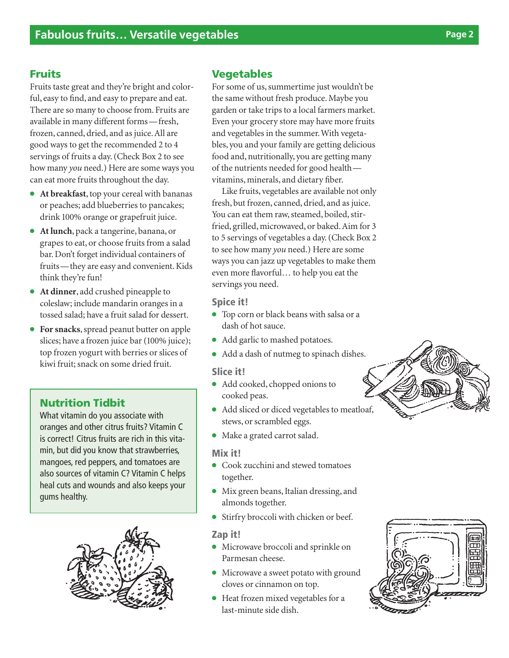### **Fruits**

Fruits taste great and they're bright and colorful, easy to find, and easy to prepare and eat. There are so many to choose from. Fruits are available in many different forms—fresh, frozen, canned, dried, and as juice. All are good ways to get the recommended 2 to 4 servings of fruits a day. (Check Box 2 to see how many *you* need.) Here are some ways you can eat more fruits throughout the day.

- **At breakfast**, top your cereal with bananas or peaches; add blueberries to pancakes; drink 100% orange or grapefruit juice.
- **At lunch**, pack a tangerine, banana, or grapes to eat, or choose fruits from a salad bar. Don't forget individual containers of fruits—they are easy and convenient. Kids think they're fun!
- **At dinner**, add crushed pineapple to coleslaw; include mandarin oranges in a tossed salad; have a fruit salad for dessert.
- **For snacks**, spread peanut butter on apple slices; have a frozen juice bar (100% juice); top frozen yogurt with berries or slices of kiwi fruit; snack on some dried fruit.

### **Nutrition Tidbit**

What vitamin do you associate with oranges and other citrus fruits? Vitamin C is correct! Citrus fruits are rich in this vitamin, but did you know that strawberries, mangoes, red peppers, and tomatoes are also sources of vitamin C? Vitamin C helps heal cuts and wounds and also keeps your gums healthy.



### **Vegetables**

For some of us, summertime just wouldn't be the same without fresh produce. Maybe you garden or take trips to a local farmers market. Even your grocery store may have more fruits and vegetables in the summer. With vegetables, you and your family are getting delicious food and, nutritionally, you are getting many of the nutrients needed for good health vitamins, minerals, and dietary fiber.

Like fruits, vegetables are available not only fresh, but frozen, canned, dried, and as juice. You can eat them raw, steamed, boiled, stirfried, grilled, microwaved, or baked. Aim for 3 to 5 servings of vegetables a day. (Check Box 2 to see how many *you* need.) Here are some ways you can jazz up vegetables to make them even more flavorful… to help you eat the servings you need.

### **Spice it!**

- Top corn or black beans with salsa or a dash of hot sauce.
- Add garlic to mashed potatoes.
- Add a dash of nutmeg to spinach dishes.

### **Slice it!**

- Add cooked, chopped onions to cooked peas.
- Add sliced or diced vegetables to meatloaf, stews, or scrambled eggs.
- Make a grated carrot salad.

#### **Mix it!**

- Cook zucchini and stewed tomatoes together.
- Mix green beans, Italian dressing, and almonds together.
- Stirfry broccoli with chicken or beef.

### **Zap it!**

- Microwave broccoli and sprinkle on Parmesan cheese.
- Microwave a sweet potato with ground cloves or cinnamon on top.
- Heat frozen mixed vegetables for a last-minute side dish.



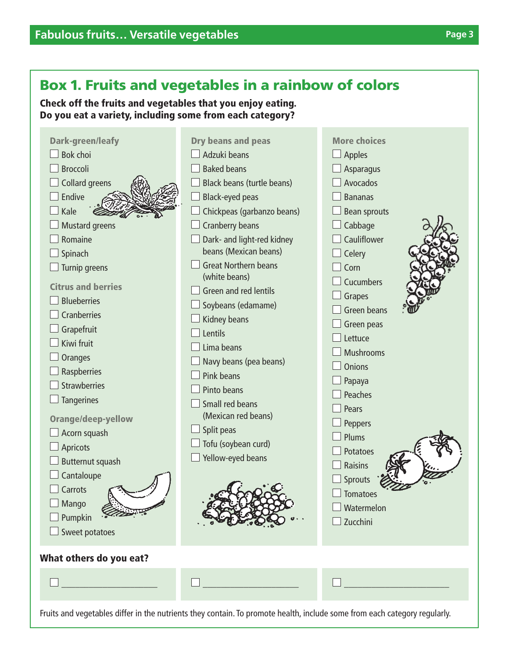## **Box 1. Fruits and vegetables in a rainbow of colors**

**Check off the fruits and vegetables that you enjoy eating. Do you eat a variety, including some from each category?**

|                         | <b>Dark-green/leafy</b><br>Bok choi<br><b>Broccoli</b><br><b>Collard greens</b><br>Endive<br>Kale<br><b>Mustard greens</b><br>Romaine<br>Spinach<br>Turnip greens<br><b>Citrus and berries</b><br><b>Blueberries</b><br><b>Cranberries</b><br>Grapefruit<br>Kiwi fruit<br><b>Oranges</b><br>Raspberries<br><b>Strawberries</b><br><b>Tangerines</b><br><b>Orange/deep-yellow</b><br>Acorn squash<br><b>Apricots</b><br><b>Butternut squash</b><br>Cantaloupe<br>Carrots<br>$\Box$ Mango<br>Pumpkin<br>Sweet potatoes | <b>Dry beans and peas</b><br>Adzuki beans<br><b>Baked beans</b><br>Black beans (turtle beans)<br><b>Black-eyed peas</b><br>Chickpeas (garbanzo beans)<br><b>Cranberry beans</b><br>Dark- and light-red kidney<br>beans (Mexican beans)<br><b>Great Northern beans</b><br>(white beans)<br>Green and red lentils<br>Soybeans (edamame)<br>Kidney beans<br>Lentils<br>Lima beans<br>Navy beans (pea beans)<br>Pink beans<br>Pinto beans<br>Small red beans<br>(Mexican red beans)<br>Split peas<br>Tofu (soybean curd)<br>Yellow-eyed beans | <b>More choices</b><br>Apples<br><b>Asparagus</b><br>Avocados<br><b>Bananas</b><br><b>Bean sprouts</b><br>Cabbage<br>Cauliflower<br>Celery<br>Corn<br><b>Cucumbers</b><br>Grapes<br><b>Green beans</b><br>Green peas<br>Lettuce<br>Mushrooms<br><b>Onions</b><br>Papaya<br>Peaches<br>Pears<br>Peppers<br><b>Plums</b><br><b>Potatoes</b><br><b>Raisins</b><br>Sprouts<br><b>Tomatoes</b><br>Watermelon<br>Zucchini |
|-------------------------|----------------------------------------------------------------------------------------------------------------------------------------------------------------------------------------------------------------------------------------------------------------------------------------------------------------------------------------------------------------------------------------------------------------------------------------------------------------------------------------------------------------------|-------------------------------------------------------------------------------------------------------------------------------------------------------------------------------------------------------------------------------------------------------------------------------------------------------------------------------------------------------------------------------------------------------------------------------------------------------------------------------------------------------------------------------------------|---------------------------------------------------------------------------------------------------------------------------------------------------------------------------------------------------------------------------------------------------------------------------------------------------------------------------------------------------------------------------------------------------------------------|
| What others do you eat? |                                                                                                                                                                                                                                                                                                                                                                                                                                                                                                                      |                                                                                                                                                                                                                                                                                                                                                                                                                                                                                                                                           |                                                                                                                                                                                                                                                                                                                                                                                                                     |

Fruits and vegetables differ in the nutrients they contain. To promote health, include some from each category regularly.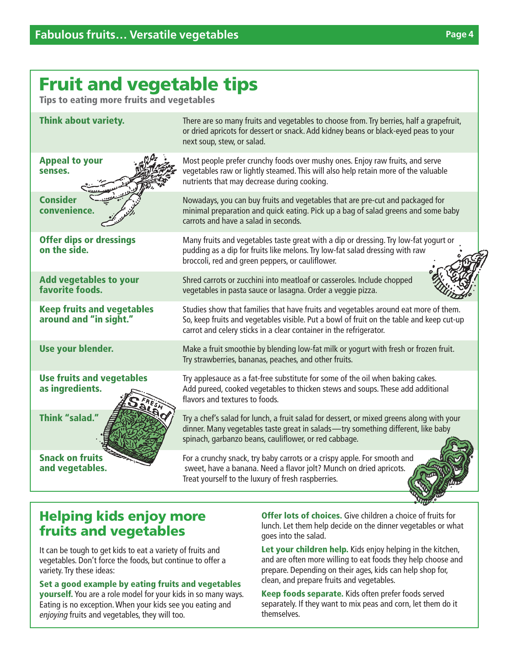# **Fruit and vegetable tips**

**Tips to eating more fruits and vegetables**



### **Helping kids enjoy more fruits and vegetables**

It can be tough to get kids to eat a variety of fruits and vegetables. Don't force the foods, but continue to offer a variety. Try these ideas:

**Set a good example by eating fruits and vegetables yourself.** You are a role model for your kids in so many ways. Eating is no exception. When your kids see you eating and enjoying fruits and vegetables, they will too.

**Offer lots of choices.** Give children a choice of fruits for lunch. Let them help decide on the dinner vegetables or what goes into the salad.

**Let your children help.** Kids enjoy helping in the kitchen, and are often more willing to eat foods they help choose and prepare. Depending on their ages, kids can help shop for, clean, and prepare fruits and vegetables.

**Keep foods separate.** Kids often prefer foods served separately. If they want to mix peas and corn, let them do it themselves.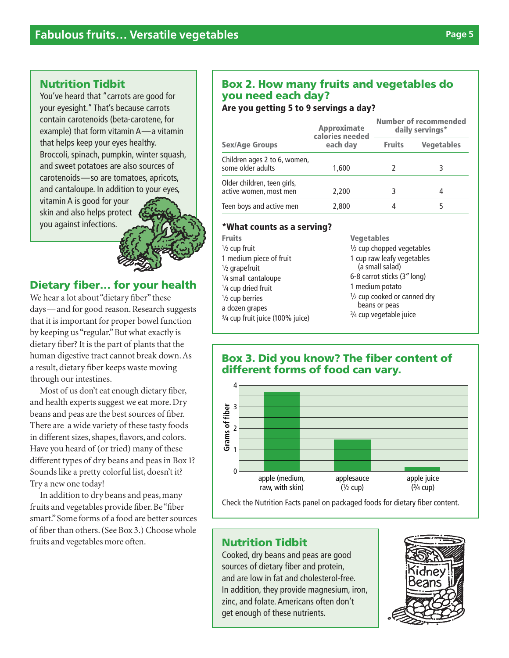### **Nutrition Tidbit**

You've heard that "carrots are good for your eyesight." That's because carrots contain carotenoids (beta-carotene, for example) that form vitamin A—a vitamin that helps keep your eyes healthy. Broccoli, spinach, pumpkin, winter squash, and sweet potatoes are also sources of carotenoids—so are tomatoes, apricots, and cantaloupe. In addition to your eyes,

vitamin A is good for your skin and also helps protect you against infections.



### **Dietary fiber… for your health**

We hear a lot about "dietary fiber" these days—and for good reason. Research suggests that it is important for proper bowel function by keeping us "regular." But what exactly is dietary fiber? It is the part of plants that the human digestive tract cannot break down. As a result, dietary fiber keeps waste moving through our intestines.

Most of us don't eat enough dietary fiber, and health experts suggest we eat more. Dry beans and peas are the best sources of fiber. There are a wide variety of these tasty foods in different sizes, shapes, flavors, and colors. Have you heard of (or tried) many of these different types of dry beans and peas in Box 1? Sounds like a pretty colorful list, doesn't it? Try a new one today!

In addition to dry beans and peas, many fruits and vegetables provide fiber. Be"fiber smart."Some forms of a food are better sources of fiber than others. (See Box 3.) Choose whole fruits and vegetables more often.

### **Box 2. How many fruits and vegetables do you need each day?**

**Are you getting 5 to 9 servings a day?**

|                                                       | <b>Approximate</b><br>calories needed<br>each day | Number of recommended<br>daily servings* |                   |
|-------------------------------------------------------|---------------------------------------------------|------------------------------------------|-------------------|
| <b>Sex/Age Groups</b>                                 |                                                   | <b>Fruits</b>                            | <b>Vegetables</b> |
| Children ages 2 to 6, women,<br>some older adults     | 1,600                                             |                                          |                   |
| Older children, teen girls,<br>active women, most men | 2,200                                             |                                          | 4                 |
| Teen boys and active men                              | 2,800                                             |                                          |                   |

### **\*What counts as a serving?**

| <b>Fruits</b>                                       | <b>Vegetables</b>                                                                  |  |
|-----------------------------------------------------|------------------------------------------------------------------------------------|--|
| $\frac{1}{2}$ cup fruit                             | $\frac{1}{2}$ cup chopped vegetables                                               |  |
| 1 medium piece of fruit<br>$\frac{1}{2}$ grapefruit | 1 cup raw leafy vegetables<br>(a small salad)                                      |  |
| 1/4 small cantaloupe                                | 6-8 carrot sticks (3" long)                                                        |  |
| 1/4 cup dried fruit                                 | 1 medium potato                                                                    |  |
| $\frac{1}{2}$ cup berries<br>a dozen grapes         | $\frac{1}{2}$ cup cooked or canned dry<br>beans or peas<br>3/4 cup vegetable juice |  |
| 3/4 cup fruit juice (100% juice)                    |                                                                                    |  |

### **Box 3. Did you know? The fiber content of different forms of food can vary.**



### **Nutrition Tidbit**

Cooked, dry beans and peas are good sources of dietary fiber and protein, and are low in fat and cholesterol-free. In addition, they provide magnesium, iron, zinc, and folate. Americans often don't get enough of these nutrients.